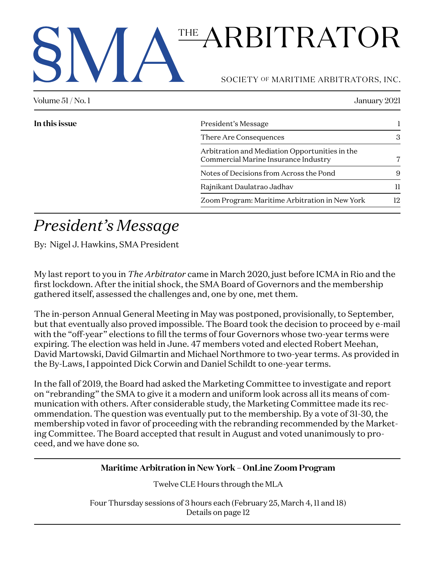# THE ARBITRATOR

SOCIETY OF MARITIME ARBITRATORS, INC.

| Volume $51/No.1$<br>January 2021 |                                                                                        |    |
|----------------------------------|----------------------------------------------------------------------------------------|----|
| In this issue                    | President's Message                                                                    |    |
|                                  | There Are Consequences                                                                 | 3  |
|                                  | Arbitration and Mediation Opportunities in the<br>Commercial Marine Insurance Industry |    |
|                                  | Notes of Decisions from Across the Pond                                                | 9  |
|                                  | Rajnikant Daulatrao Jadhav                                                             | H  |
|                                  | Zoom Program: Maritime Arbitration in New York                                         | 12 |

# *President's Message*

By: Nigel J. Hawkins, SMA President

My last report to you in *The Arbitrator* came in March 2020, just before ICMA in Rio and the first lockdown. After the initial shock, the SMA Board of Governors and the membership gathered itself, assessed the challenges and, one by one, met them.

The in-person Annual General Meeting in May was postponed, provisionally, to September, but that eventually also proved impossible. The Board took the decision to proceed by e-mail with the "off-year" elections to fill the terms of four Governors whose two-year terms were expiring. The election was held in June. 47 members voted and elected Robert Meehan, David Martowski, David Gilmartin and Michael Northmore to two-year terms. As provided in the By-Laws, I appointed Dick Corwin and Daniel Schildt to one-year terms.

In the fall of 2019, the Board had asked the Marketing Committee to investigate and report on "rebranding" the SMA to give it a modern and uniform look across all its means of communication with others. After considerable study, the Marketing Committee made its recommendation. The question was eventually put to the membership. By a vote of 31-30, the membership voted in favor of proceeding with the rebranding recommended by the Marketing Committee. The Board accepted that result in August and voted unanimously to proceed, and we have done so.

## **Maritime Arbitration in New York – OnLine Zoom Program**

Twelve CLE Hours through the MLA

Four Thursday sessions of 3 hours each (February 25, March 4, 11 and 18) Details on page 12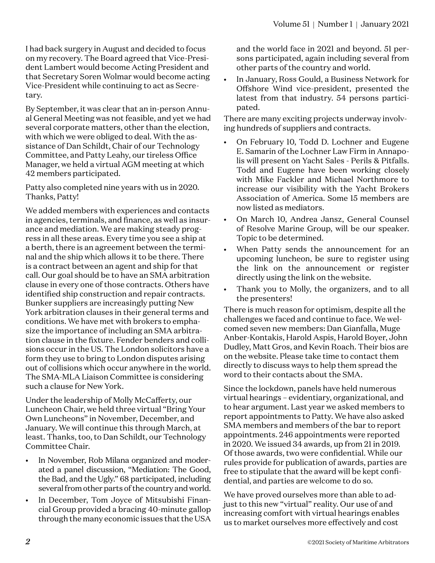I had back surgery in August and decided to focus on my recovery. The Board agreed that Vice-President Lambert would become Acting President and that Secretary Soren Wolmar would become acting Vice-President while continuing to act as Secretary.

By September, it was clear that an in-person Annual General Meeting was not feasible, and yet we had several corporate matters, other than the election, with which we were obliged to deal. With the assistance of Dan Schildt, Chair of our Technology Committee, and Patty Leahy, our tireless Office Manager, we held a virtual AGM meeting at which 42 members participated.

Patty also completed nine years with us in 2020. Thanks, Patty!

We added members with experiences and contacts in agencies, terminals, and finance, as well as insurance and mediation. We are making steady progress in all these areas. Every time you see a ship at a berth, there is an agreement between the terminal and the ship which allows it to be there. There is a contract between an agent and ship for that call. Our goal should be to have an SMA arbitration clause in every one of those contracts. Others have identified ship construction and repair contracts. Bunker suppliers are increasingly putting New York arbitration clauses in their general terms and conditions. We have met with brokers to emphasize the importance of including an SMA arbitration clause in the fixture. Fender benders and collisions occur in the US. The London solicitors have a form they use to bring to London disputes arising out of collisions which occur anywhere in the world. The SMA-MLA Liaison Committee is considering such a clause for New York.

Under the leadership of Molly McCafferty, our Luncheon Chair, we held three virtual "Bring Your Own Luncheons" in November, December, and January. We will continue this through March, at least. Thanks, too, to Dan Schildt, our Technology Committee Chair.

- In November, Rob Milana organized and moderated a panel discussion, "Mediation: The Good, the Bad, and the Ugly." 68 participated, including several from other parts of the country and world.
- In December, Tom Joyce of Mitsubishi Financial Group provided a bracing 40-minute gallop through the many economic issues that the USA

and the world face in 2021 and beyond. 51 persons participated, again including several from other parts of the country and world.

• In January, Ross Gould, a Business Network for Offshore Wind vice-president, presented the latest from that industry. 54 persons participated.

There are many exciting projects underway involving hundreds of suppliers and contracts.

- On February 10, Todd D. Lochner and Eugene E. Samarin of the Lochner Law Firm in Annapolis will present on Yacht Sales - Perils & Pitfalls. Todd and Eugene have been working closely with Mike Fackler and Michael Northmore to increase our visibility with the Yacht Brokers Association of America. Some 15 members are now listed as mediators.
- On March 10, Andrea Jansz, General Counsel of Resolve Marine Group, will be our speaker. Topic to be determined.
- When Patty sends the announcement for an upcoming luncheon, be sure to register using the link on the announcement or register directly using the link on the website.
- Thank you to Molly, the organizers, and to all the presenters!

There is much reason for optimism, despite all the challenges we faced and continue to face. We welcomed seven new members: Dan Gianfalla, Muge Anber-Kontakis, Harold Aspis, Harold Boyer, John Dudley, Matt Gros, and Kevin Roach. Their bios are on the website. Please take time to contact them directly to discuss ways to help them spread the word to their contacts about the SMA.

Since the lockdown, panels have held numerous virtual hearings – evidentiary, organizational, and to hear argument. Last year we asked members to report appointments to Patty. We have also asked SMA members and members of the bar to report appointments. 246 appointments were reported in 2020. We issued 34 awards, up from 21 in 2019. Of those awards, two were confidential. While our rules provide for publication of awards, parties are free to stipulate that the award will be kept confidential, and parties are welcome to do so.

We have proved ourselves more than able to adjust to this new "virtual" reality. Our use of and increasing comfort with virtual hearings enables us to market ourselves more effectively and cost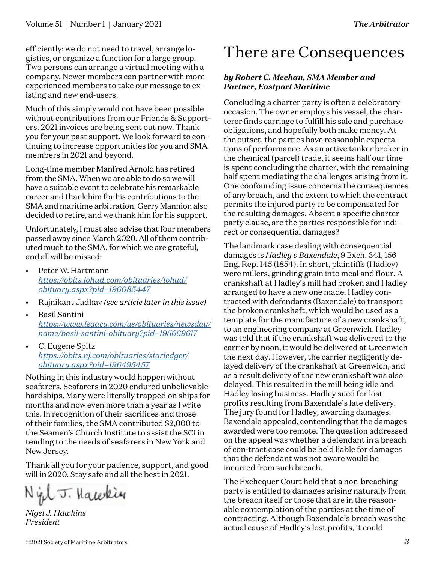efficiently: we do not need to travel, arrange logistics, or organize a function for a large group. Two persons can arrange a virtual meeting with a company. Newer members can partner with more experienced members to take our message to existing and new end-users.

Much of this simply would not have been possible without contributions from our Friends & Supporters. 2021 invoices are being sent out now. Thank you for your past support. We look forward to continuing to increase opportunities for you and SMA members in 2021 and beyond.

Long-time member Manfred Arnold has retired from the SMA. When we are able to do so we will have a suitable event to celebrate his remarkable career and thank him for his contributions to the SMA and maritime arbitration. Gerry Mannion also decided to retire, and we thank him for his support.

Unfortunately, I must also advise that four members passed away since March 2020. All of them contributed much to the SMA, for which we are grateful, and all will be missed:

- Peter W. Hartmann *[https://obits.lohud.com/obituaries/lohud/](https://obits.lohud.com/obituaries/lohud/obituary.aspx?pid=196085447) [obituary.aspx?pid=196085447](https://obits.lohud.com/obituaries/lohud/obituary.aspx?pid=196085447)*
- Rajnikant Jadhav *(see article later in this issue)*
- Basil Santini *[https://www.legacy.com/us/obituaries/newsday/](https://www.legacy.com/us/obituaries/newsday/name/basil-santini-obituary?pid=195669617) [name/basil-santini-obituary?pid=195669617](https://www.legacy.com/us/obituaries/newsday/name/basil-santini-obituary?pid=195669617)*
- C. Eugene Spitz *[https://obits.nj.com/obituaries/starledger/](https://obits.nj.com/obituaries/starledger/obituary.aspx?pid=196495457) [obituary.aspx?pid=196495457](https://obits.nj.com/obituaries/starledger/obituary.aspx?pid=196495457)*

Nothing in this industry would happen without seafarers. Seafarers in 2020 endured unbelievable hardships. Many were literally trapped on ships for months and now even more than a year as I write this. In recognition of their sacrifices and those of their families, the SMA contributed \$2,000 to the Seamen's Church Institute to assist the SCI in tending to the needs of seafarers in New York and New Jersey.

Thank all you for your patience, support, and good will in 2020. Stay safe and all the best in 2021.

Night. Hawkin

*Nigel J. Hawkins President*

# There are Consequences

## *by Robert C. Meehan, SMA Member and Partner, Eastport Maritime*

Concluding a charter party is often a celebratory occasion. The owner employs his vessel, the charterer finds carriage to fulfill his sale and purchase obligations, and hopefully both make money. At the outset, the parties have reasonable expectations of performance. As an active tanker broker in the chemical (parcel) trade, it seems half our time is spent concluding the charter, with the remaining half spent mediating the challenges arising from it. One confounding issue concerns the consequences of any breach, and the extent to which the contract permits the injured party to be compensated for the resulting damages. Absent a specific charter party clause, are the parties responsible for indirect or consequential damages?

The landmark case dealing with consequential damages is *Hadley v Baxendale*, 9 Exch. 341, 156 Eng. Rep. 145 (1854). In short, plaintiffs (Hadley) were millers, grinding grain into meal and flour. A crankshaft at Hadley's mill had broken and Hadley arranged to have a new one made. Hadley contracted with defendants (Baxendale) to transport the broken crankshaft, which would be used as a template for the manufacture of a new crankshaft, to an engineering company at Greenwich. Hadley was told that if the crankshaft was delivered to the carrier by noon, it would be delivered at Greenwich the next day. However, the carrier negligently delayed delivery of the crankshaft at Greenwich, and as a result delivery of the new crankshaft was also delayed. This resulted in the mill being idle and Hadley losing business. Hadley sued for lost profits resulting from Baxendale's late delivery. The jury found for Hadley, awarding damages. Baxendale appealed, contending that the damages awarded were too remote. The question addressed on the appeal was whether a defendant in a breach of con-tract case could be held liable for damages that the defendant was not aware would be incurred from such breach.

The Exchequer Court held that a non-breaching party is entitled to damages arising naturally from the breach itself or those that are in the reasonable contemplation of the parties at the time of contracting. Although Baxendale's breach was the actual cause of Hadley's lost profits, it could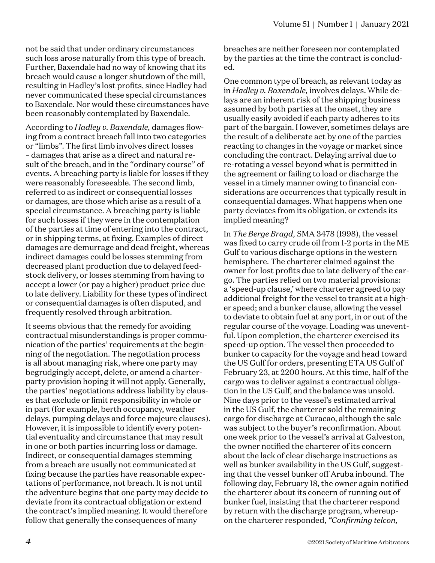not be said that under ordinary circumstances such loss arose naturally from this type of breach. Further, Baxendale had no way of knowing that its breach would cause a longer shutdown of the mill, resulting in Hadley's lost profits, since Hadley had never communicated these special circumstances to Baxendale. Nor would these circumstances have been reasonably contemplated by Baxendale.

According to *Hadley v. Baxendale,* damages flowing from a contract breach fall into two categories or "limbs". The first limb involves direct losses – damages that arise as a direct and natural result of the breach, and in the "ordinary course" of events. A breaching party is liable for losses if they were reasonably foreseeable. The second limb, referred to as indirect or consequential losses or damages, are those which arise as a result of a special circumstance. A breaching party is liable for such losses if they were in the contemplation of the parties at time of entering into the contract, or in shipping terms, at fixing. Examples of direct damages are demurrage and dead freight, whereas indirect damages could be losses stemming from decreased plant production due to delayed feedstock delivery, or losses stemming from having to accept a lower (or pay a higher) product price due to late delivery. Liability for these types of indirect or consequential damages is often disputed, and frequently resolved through arbitration.

It seems obvious that the remedy for avoiding contractual misunderstandings is proper communication of the parties' requirements at the beginning of the negotiation. The negotiation process is all about managing risk, where one party may begrudgingly accept, delete, or amend a charterparty provision hoping it will not apply. Generally, the parties' negotiations address liability by clauses that exclude or limit responsibility in whole or in part (for example, berth occupancy, weather delays, pumping delays and force majeure clauses). However, it is impossible to identify every potential eventuality and circumstance that may result in one or both parties incurring loss or damage. Indirect, or consequential damages stemming from a breach are usually not communicated at fixing because the parties have reasonable expectations of performance, not breach. It is not until the adventure begins that one party may decide to deviate from its contractual obligation or extend the contract's implied meaning. It would therefore follow that generally the consequences of many

breaches are neither foreseen nor contemplated by the parties at the time the contract is concluded.

One common type of breach, as relevant today as in *Hadley v. Baxendale,* involves delays. While delays are an inherent risk of the shipping business assumed by both parties at the onset, they are usually easily avoided if each party adheres to its part of the bargain. However, sometimes delays are the result of a deliberate act by one of the parties reacting to changes in the voyage or market since concluding the contract. Delaying arrival due to re-rotating a vessel beyond what is permitted in the agreement or failing to load or discharge the vessel in a timely manner owing to financial considerations are occurrences that typically result in consequential damages. What happens when one party deviates from its obligation, or extends its implied meaning?

In *The Berge Bragd,* SMA 3478 (1998), the vessel was fixed to carry crude oil from 1-2 ports in the ME Gulf to various discharge options in the western hemisphere. The charterer claimed against the owner for lost profits due to late delivery of the cargo. The parties relied on two material provisions: a 'speed-up clause,' where charterer agreed to pay additional freight for the vessel to transit at a higher speed; and a bunker clause, allowing the vessel to deviate to obtain fuel at any port, in or out of the regular course of the voyage. Loading was uneventful. Upon completion, the charterer exercised its speed-up option. The vessel then proceeded to bunker to capacity for the voyage and head toward the US Gulf for orders, presenting ETA US Gulf of February 23, at 2200 hours. At this time, half of the cargo was to deliver against a contractual obligation in the US Gulf, and the balance was unsold. Nine days prior to the vessel's estimated arrival in the US Gulf, the charterer sold the remaining cargo for discharge at Curacao, although the sale was subject to the buyer's reconfirmation. About one week prior to the vessel's arrival at Galveston, the owner notified the charterer of its concern about the lack of clear discharge instructions as well as bunker availability in the US Gulf, suggesting that the vessel bunker off Aruba inbound. The following day, February 18, the owner again notified the charterer about its concern of running out of bunker fuel, insisting that the charterer respond by return with the discharge program, whereupon the charterer responded, *"Confirming telcon,*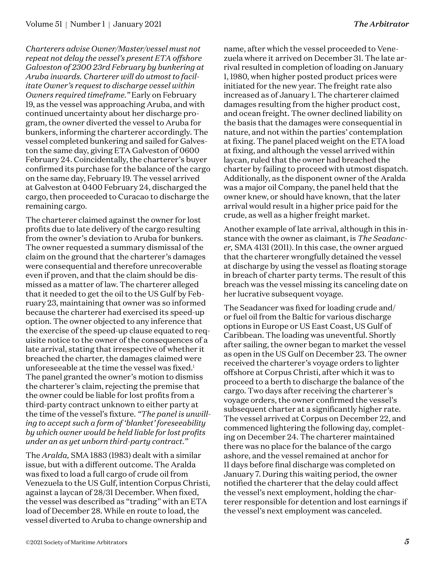*Charterers advise Owner/Master/vessel must not repeat not delay the vessel's present ETA offshore Galveston of 2300 23rd February by bunkering at Aruba inwards. Charterer will do utmost to facilitate Owner's request to discharge vessel within Owners required timeframe."* Early on February 19, as the vessel was approaching Aruba, and with continued uncertainty about her discharge program, the owner diverted the vessel to Aruba for bunkers, informing the charterer accordingly. The vessel completed bunkering and sailed for Galveston the same day, giving ETA Galveston of 0600 February 24. Coincidentally, the charterer's buyer confirmed its purchase for the balance of the cargo on the same day, February 19. The vessel arrived at Galveston at 0400 February 24, discharged the cargo, then proceeded to Curacao to discharge the remaining cargo.

The charterer claimed against the owner for lost profits due to late delivery of the cargo resulting from the owner's deviation to Aruba for bunkers. The owner requested a summary dismissal of the claim on the ground that the charterer's damages were consequential and therefore unrecoverable even if proven, and that the claim should be dismissed as a matter of law. The charterer alleged that it needed to get the oil to the US Gulf by February 23, maintaining that owner was so informed because the charterer had exercised its speed-up option. The owner objected to any inference that the exercise of the speed-up clause equated to requisite notice to the owner of the consequences of a late arrival, stating that irrespective of whether it breached the charter, the damages claimed were unforeseeable at the time the vessel was fixed.<sup>1</sup> The panel granted the owner's motion to dismiss the charterer's claim, rejecting the premise that the owner could be liable for lost profits from a third-party contract unknown to either party at the time of the vessel's fixture. *"The panel is unwilling to accept such a form of 'blanket' foreseeability by which owner would be held liable for lost profits under an as yet unborn third-party contract."*

The *Aralda,* SMA 1883 (1983) dealt with a similar issue, but with a different outcome. The Aralda was fixed to load a full cargo of crude oil from Venezuela to the US Gulf, intention Corpus Christi, against a laycan of 28/31 December. When fixed, the vessel was described as "trading" with an ETA load of December 28. While en route to load, the vessel diverted to Aruba to change ownership and

name, after which the vessel proceeded to Venezuela where it arrived on December 31. The late arrival resulted in completion of loading on January 1, 1980, when higher posted product prices were initiated for the new year. The freight rate also increased as of January 1. The charterer claimed damages resulting from the higher product cost, and ocean freight. The owner declined liability on the basis that the damages were consequential in nature, and not within the parties' contemplation at fixing. The panel placed weight on the ETA load at fixing, and although the vessel arrived within laycan, ruled that the owner had breached the charter by failing to proceed with utmost dispatch. Additionally, as the disponent owner of the Aralda was a major oil Company, the panel held that the owner knew, or should have known, that the later arrival would result in a higher price paid for the crude, as well as a higher freight market.

Another example of late arrival, although in this instance with the owner as claimant, is *The Seadancer,* SMA 4131 (2011). In this case, the owner argued that the charterer wrongfully detained the vessel at discharge by using the vessel as floating storage in breach of charter party terms. The result of this breach was the vessel missing its canceling date on her lucrative subsequent voyage.

The Seadancer was fixed for loading crude and/ or fuel oil from the Baltic for various discharge options in Europe or US East Coast, US Gulf of Caribbean. The loading was uneventful. Shortly after sailing, the owner began to market the vessel as open in the US Gulf on December 23. The owner received the charterer's voyage orders to lighter offshore at Corpus Christi, after which it was to proceed to a berth to discharge the balance of the cargo. Two days after receiving the charterer's voyage orders, the owner confirmed the vessel's subsequent charter at a significantly higher rate. The vessel arrived at Corpus on December 22, and commenced lightering the following day, completing on December 24. The charterer maintained there was no place for the balance of the cargo ashore, and the vessel remained at anchor for 11 days before final discharge was completed on January 7. During this waiting period, the owner notified the charterer that the delay could affect the vessel's next employment, holding the charterer responsible for detention and lost earnings if the vessel's next employment was canceled.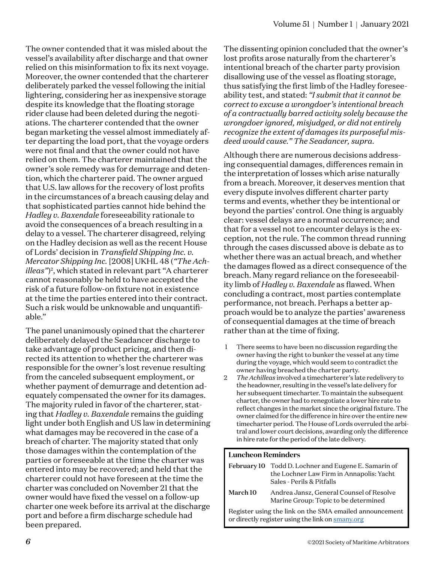The owner contended that it was misled about the vessel's availability after discharge and that owner relied on this misinformation to fix its next voyage. Moreover, the owner contended that the charterer deliberately parked the vessel following the initial lightering, considering her as inexpensive storage despite its knowledge that the floating storage rider clause had been deleted during the negotiations. The charterer contended that the owner began marketing the vessel almost immediately after departing the load port, that the voyage orders were not final and that the owner could not have relied on them. The charterer maintained that the owner's sole remedy was for demurrage and detention, which the charterer paid. The owner argued that U.S. law allows for the recovery of lost profits in the circumstances of a breach causing delay and that sophisticated parties cannot hide behind the *Hadley v. Baxendale* foreseeability rationale to avoid the consequences of a breach resulting in a delay to a vessel. The charterer disagreed, relying on the Hadley decision as well as the recent House of Lords' decision in *Transfield Shipping Inc. v. Mercator Shipping Inc.* [2008] UKHL 48 (*"The Achilleas*")<sup>2</sup>, which stated in relevant part "A charterer cannot reasonably be held to have accepted the risk of a future follow-on fixture not in existence at the time the parties entered into their contract. Such a risk would be unknowable and unquantifiable."

The panel unanimously opined that the charterer deliberately delayed the Seadancer discharge to take advantage of product pricing, and then directed its attention to whether the charterer was responsible for the owner's lost revenue resulting from the canceled subsequent employment, or whether payment of demurrage and detention adequately compensated the owner for its damages. The majority ruled in favor of the charterer, stating that *Hadley v. Baxendale* remains the guiding light under both English and US law in determining what damages may be recovered in the case of a breach of charter. The majority stated that only those damages within the contemplation of the parties or foreseeable at the time the charter was entered into may be recovered; and held that the charterer could not have foreseen at the time the charter was concluded on November 21 that the owner would have fixed the vessel on a follow-up charter one week before its arrival at the discharge port and before a firm discharge schedule had been prepared.

The dissenting opinion concluded that the owner's lost profits arose naturally from the charterer's intentional breach of the charter party provision disallowing use of the vessel as floating storage, thus satisfying the first limb of the Hadley foreseeability test, and stated: *"I submit that it cannot be correct to excuse a wrongdoer's intentional breach of a contractually barred activity solely because the wrongdoer ignored, misjudged, or did not entirely recognize the extent of damages its purposeful misdeed would cause." The Seadancer, supra.*

Although there are numerous decisions addressing consequential damages, differences remain in the interpretation of losses which arise naturally from a breach. Moreover, it deserves mention that every dispute involves different charter party terms and events, whether they be intentional or beyond the parties' control. One thing is arguably clear: vessel delays are a normal occurrence; and that for a vessel not to encounter delays is the exception, not the rule. The common thread running through the cases discussed above is debate as to whether there was an actual breach, and whether the damages flowed as a direct consequence of the breach. Many regard reliance on the foreseeability limb of *Hadley v. Baxendale* as flawed. When concluding a contract, most parties contemplate performance, not breach. Perhaps a better approach would be to analyze the parties' awareness of consequential damages at the time of breach rather than at the time of fixing.

- 1 There seems to have been no discussion regarding the owner having the right to bunker the vessel at any time during the voyage, which would seem to contradict the owner having breached the charter party.
- 2 *The Achilleas* involved a timecharterer's late redelivery to the headowner, resulting in the vessel's late delivery for her subsequent timecharter. To maintain the subsequent charter, the owner had to renegotiate a lower hire rate to reflect changes in the market since the original fixture. The owner claimed for the difference in hire over the entire new timecharter period. The House of Lords overruled the arbitral and lower court decisions, awarding only the difference in hire rate for the period of the late delivery.

### **Luncheon Reminders**

|          | February 10 Todd D. Lochner and Eugene E. Samarin of<br>the Lochner Law Firm in Annapolis: Yacht<br>Sales - Perils & Pitfalls |
|----------|-------------------------------------------------------------------------------------------------------------------------------|
| March 10 | Andrea Jansz, General Counsel of Resolve<br>Marine Group: Topic to be determined                                              |
|          | Register using the link on the SMA emailed announcement<br>or directly register using the link on smany.org                   |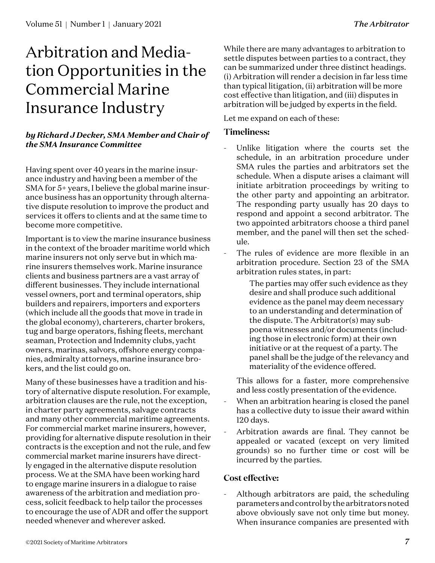# Arbitration and Mediation Opportunities in the Commercial Marine Insurance Industry

## *by Richard J Decker, SMA Member and Chair of the SMA Insurance Committee*

Having spent over 40 years in the marine insurance industry and having been a member of the SMA for 5+ years, I believe the global marine insurance business has an opportunity through alternative dispute resolution to improve the product and services it offers to clients and at the same time to become more competitive.

Important is to view the marine insurance business in the context of the broader maritime world which marine insurers not only serve but in which marine insurers themselves work. Marine insurance clients and business partners are a vast array of different businesses. They include international vessel owners, port and terminal operators, ship builders and repairers, importers and exporters (which include all the goods that move in trade in the global economy), charterers, charter brokers, tug and barge operators, fishing fleets, merchant seaman, Protection and Indemnity clubs, yacht owners, marinas, salvors, offshore energy companies, admiralty attorneys, marine insurance brokers, and the list could go on.

Many of these businesses have a tradition and history of alternative dispute resolution. For example, arbitration clauses are the rule, not the exception, in charter party agreements, salvage contracts and many other commercial maritime agreements. For commercial market marine insurers, however, providing for alternative dispute resolution in their contracts is the exception and not the rule, and few commercial market marine insurers have directly engaged in the alternative dispute resolution process. We at the SMA have been working hard to engage marine insurers in a dialogue to raise awareness of the arbitration and mediation process, solicit feedback to help tailor the processes to encourage the use of ADR and offer the support needed whenever and wherever asked.

While there are many advantages to arbitration to settle disputes between parties to a contract, they can be summarized under three distinct headings. (i) Arbitration will render a decision in far less time than typical litigation, (ii) arbitration will be more cost effective than litigation, and (iii) disputes in arbitration will be judged by experts in the field.

Let me expand on each of these:

## **Timeliness:**

- Unlike litigation where the courts set the schedule, in an arbitration procedure under SMA rules the parties and arbitrators set the schedule. When a dispute arises a claimant will initiate arbitration proceedings by writing to the other party and appointing an arbitrator. The responding party usually has 20 days to respond and appoint a second arbitrator. The two appointed arbitrators choose a third panel member, and the panel will then set the schedule.
- The rules of evidence are more flexible in an arbitration procedure. Section 23 of the SMA arbitration rules states, in part:

The parties may offer such evidence as they desire and shall produce such additional evidence as the panel may deem necessary to an understanding and determination of the dispute. The Arbitrator(s) may subpoena witnesses and/or documents (including those in electronic form) at their own initiative or at the request of a party. The panel shall be the judge of the relevancy and materiality of the evidence offered.

This allows for a faster, more comprehensive and less costly presentation of the evidence.

- When an arbitration hearing is closed the panel has a collective duty to issue their award within 120 days.
- Arbitration awards are final. They cannot be appealed or vacated (except on very limited grounds) so no further time or cost will be incurred by the parties.

## **Cost effective:**

Although arbitrators are paid, the scheduling parameters and control by the arbitrators noted above obviously save not only time but money. When insurance companies are presented with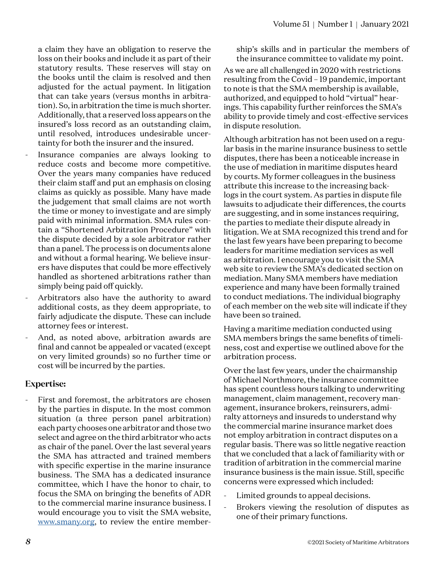a claim they have an obligation to reserve the loss on their books and include it as part of their statutory results. These reserves will stay on the books until the claim is resolved and then adjusted for the actual payment. In litigation that can take years (versus months in arbitration). So, in arbitration the time is much shorter. Additionally, that a reserved loss appears on the insured's loss record as an outstanding claim, until resolved, introduces undesirable uncertainty for both the insurer and the insured.

- Insurance companies are always looking to reduce costs and become more competitive. Over the years many companies have reduced their claim staff and put an emphasis on closing claims as quickly as possible. Many have made the judgement that small claims are not worth the time or money to investigate and are simply paid with minimal information. SMA rules contain a "Shortened Arbitration Procedure" with the dispute decided by a sole arbitrator rather than a panel. The process is on documents alone and without a formal hearing. We believe insurers have disputes that could be more effectively handled as shortened arbitrations rather than simply being paid off quickly.
- Arbitrators also have the authority to award additional costs, as they deem appropriate, to fairly adjudicate the dispute. These can include attorney fees or interest.
- And, as noted above, arbitration awards are final and cannot be appealed or vacated (except on very limited grounds) so no further time or cost will be incurred by the parties.

## **Expertise:**

First and foremost, the arbitrators are chosen by the parties in dispute. In the most common situation (a three person panel arbitration) each party chooses one arbitrator and those two select and agree on the third arbitrator who acts as chair of the panel. Over the last several years the SMA has attracted and trained members with specific expertise in the marine insurance business. The SMA has a dedicated insurance committee, which I have the honor to chair, to focus the SMA on bringing the benefits of ADR to the commercial marine insurance business. I would encourage you to visit the SMA website, [www.smany.org](http://www.smany.org), to review the entire membership's skills and in particular the members of the insurance committee to validate my point.

As we are all challenged in 2020 with restrictions resulting from the Covid – 19 pandemic, important to note is that the SMA membership is available, authorized, and equipped to hold "virtual" hearings. This capability further reinforces the SMA's ability to provide timely and cost-effective services in dispute resolution.

Although arbitration has not been used on a regular basis in the marine insurance business to settle disputes, there has been a noticeable increase in the use of mediation in maritime disputes heard by courts. My former colleagues in the business attribute this increase to the increasing backlogs in the court system. As parties in dispute file lawsuits to adjudicate their differences, the courts are suggesting, and in some instances requiring, the parties to mediate their dispute already in litigation. We at SMA recognized this trend and for the last few years have been preparing to become leaders for maritime mediation services as well as arbitration. I encourage you to visit the SMA web site to review the SMA's dedicated section on mediation. Many SMA members have mediation experience and many have been formally trained to conduct mediations. The individual biography of each member on the web site will indicate if they have been so trained.

Having a maritime mediation conducted using SMA members brings the same benefits of timeliness, cost and expertise we outlined above for the arbitration process.

Over the last few years, under the chairmanship of Michael Northmore, the insurance committee has spent countless hours talking to underwriting management, claim management, recovery management, insurance brokers, reinsurers, admiralty attorneys and insureds to understand why the commercial marine insurance market does not employ arbitration in contract disputes on a regular basis. There was so little negative reaction that we concluded that a lack of familiarity with or tradition of arbitration in the commercial marine insurance business is the main issue. Still, specific concerns were expressed which included:

- Limited grounds to appeal decisions.
- Brokers viewing the resolution of disputes as one of their primary functions.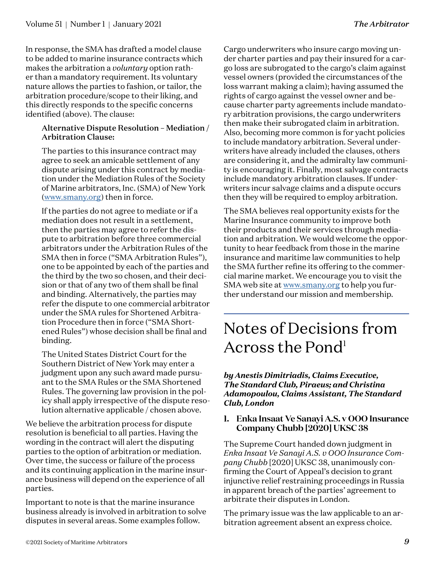In response, the SMA has drafted a model clause to be added to marine insurance contracts which makes the arbitration a *voluntary* option rather than a mandatory requirement. Its voluntary nature allows the parties to fashion, or tailor, the arbitration procedure/scope to their liking, and this directly responds to the specific concerns identified (above). The clause:

## Alternative Dispute Resolution – Mediation / Arbitration Clause:

The parties to this insurance contract may agree to seek an amicable settlement of any dispute arising under this contract by mediation under the Mediation Rules of the Society of Marine arbitrators, Inc. (SMA) of New York [\(www.smany.org](http://www.smany.org)) then in force.

If the parties do not agree to mediate or if a mediation does not result in a settlement, then the parties may agree to refer the dispute to arbitration before three commercial arbitrators under the Arbitration Rules of the SMA then in force ("SMA Arbitration Rules"), one to be appointed by each of the parties and the third by the two so chosen, and their decision or that of any two of them shall be final and binding. Alternatively, the parties may refer the dispute to one commercial arbitrator under the SMA rules for Shortened Arbitration Procedure then in force ("SMA Shortened Rules") whose decision shall be final and binding.

The United States District Court for the Southern District of New York may enter a judgment upon any such award made pursuant to the SMA Rules or the SMA Shortened Rules. The governing law provision in the policy shall apply irrespective of the dispute resolution alternative applicable / chosen above.

We believe the arbitration process for dispute resolution is beneficial to all parties. Having the wording in the contract will alert the disputing parties to the option of arbitration or mediation. Over time, the success or failure of the process and its continuing application in the marine insurance business will depend on the experience of all parties.

Important to note is that the marine insurance business already is involved in arbitration to solve disputes in several areas. Some examples follow.

Cargo underwriters who insure cargo moving under charter parties and pay their insured for a cargo loss are subrogated to the cargo's claim against vessel owners (provided the circumstances of the loss warrant making a claim); having assumed the rights of cargo against the vessel owner and because charter party agreements include mandatory arbitration provisions, the cargo underwriters then make their subrogated claim in arbitration. Also, becoming more common is for yacht policies to include mandatory arbitration. Several underwriters have already included the clauses, others are considering it, and the admiralty law community is encouraging it. Finally, most salvage contracts include mandatory arbitration clauses. If underwriters incur salvage claims and a dispute occurs then they will be required to employ arbitration.

The SMA believes real opportunity exists for the Marine Insurance community to improve both their products and their services through mediation and arbitration. We would welcome the opportunity to hear feedback from those in the marine insurance and maritime law communities to help the SMA further refine its offering to the commercial marine market. We encourage you to visit the SMA web site at [www.smany.org](http://www.smany.org) to help you further understand our mission and membership.

## Notes of Decisions from Across the Pond<sup>1</sup>

## *by Anestis Dimitriadis, Claims Executive, The Standard Club, Piraeus; and Christina Adamopoulou, Claims Assistant, The Standard Club, London*

## **1. Enka Insaat Ve Sanayi A.S. v OOO Insurance Company Chubb [2020] UKSC 38**

The Supreme Court handed down judgment in *Enka Insaat Ve Sanayi A.S. v OOO Insurance Company Chubb* [2020] UKSC 38, unanimously confirming the Court of Appeal's decision to grant injunctive relief restraining proceedings in Russia in apparent breach of the parties' agreement to arbitrate their disputes in London.

The primary issue was the law applicable to an arbitration agreement absent an express choice.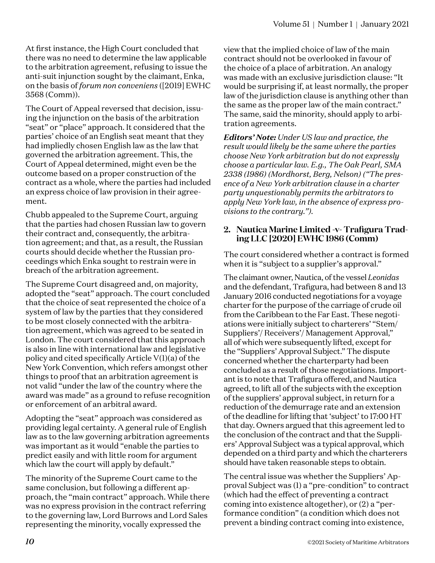At first instance, the High Court concluded that there was no need to determine the law applicable to the arbitration agreement, refusing to issue the anti-suit injunction sought by the claimant, Enka, on the basis of *forum non conveniens* ([2019] EWHC 3568 (Comm)).

The Court of Appeal reversed that decision, issuing the injunction on the basis of the arbitration "seat" or "place" approach. It considered that the parties' choice of an English seat meant that they had impliedly chosen English law as the law that governed the arbitration agreement. This, the Court of Appeal determined, might even be the outcome based on a proper construction of the contract as a whole, where the parties had included an express choice of law provision in their agreement.

Chubb appealed to the Supreme Court, arguing that the parties had chosen Russian law to govern their contract and, consequently, the arbitration agreement; and that, as a result, the Russian courts should decide whether the Russian proceedings which Enka sought to restrain were in breach of the arbitration agreement.

The Supreme Court disagreed and, on majority, adopted the "seat" approach. The court concluded that the choice of seat represented the choice of a system of law by the parties that they considered to be most closely connected with the arbitration agreement, which was agreed to be seated in London. The court considered that this approach is also in line with international law and legislative policy and cited specifically Article V(1)(a) of the New York Convention, which refers amongst other things to proof that an arbitration agreement is not valid "under the law of the country where the award was made" as a ground to refuse recognition or enforcement of an arbitral award.

Adopting the "seat" approach was considered as providing legal certainty. A general rule of English law as to the law governing arbitration agreements was important as it would "enable the parties to predict easily and with little room for argument which law the court will apply by default."

The minority of the Supreme Court came to the same conclusion, but following a different approach, the "main contract" approach. While there was no express provision in the contract referring to the governing law, Lord Burrows and Lord Sales representing the minority, vocally expressed the

view that the implied choice of law of the main contract should not be overlooked in favour of the choice of a place of arbitration. An analogy was made with an exclusive jurisdiction clause: "It would be surprising if, at least normally, the proper law of the jurisdiction clause is anything other than the same as the proper law of the main contract." The same, said the minority, should apply to arbitration agreements.

*Editors' Note: Under US law and practice, the result would likely be the same where the parties choose New York arbitration but do not expressly choose a particular law. E.g., The Oak Pearl, SMA 2338 (1986) (Mordhorst, Berg, Nelson) ("The presence of a New York arbitration clause in a charter party unquestionably permits the arbitrators to apply New York law, in the absence of express provisions to the contrary.").*

## **2. Nautica Marine Limited -v- Trafigura Trading LLC [2020] EWHC 1986 (Comm)**

The court considered whether a contract is formed when it is "subject to a supplier's approval."

The claimant owner, Nautica, of the vessel *Leonidas* and the defendant, Trafigura, had between 8 and 13 January 2016 conducted negotiations for a voyage charter for the purpose of the carriage of crude oil from the Caribbean to the Far East. These negotiations were initially subject to charterers' "Stem/ Suppliers'/ Receivers'/ Management Approval," all of which were subsequently lifted, except for the "Suppliers' Approval Subject." The dispute concerned whether the charterparty had been concluded as a result of those negotiations. Important is to note that Trafigura offered, and Nautica agreed, to lift all of the subjects with the exception of the suppliers' approval subject, in return for a reduction of the demurrage rate and an extension of the deadline for lifting that 'subject' to 17:00 HT that day. Owners argued that this agreement led to the conclusion of the contract and that the Suppliers' Approval Subject was a typical approval, which depended on a third party and which the charterers should have taken reasonable steps to obtain.

The central issue was whether the Suppliers' Approval Subject was (1) a "pre-condition" to contract (which had the effect of preventing a contract coming into existence altogether), or (2) a "performance condition" (a condition which does not prevent a binding contract coming into existence,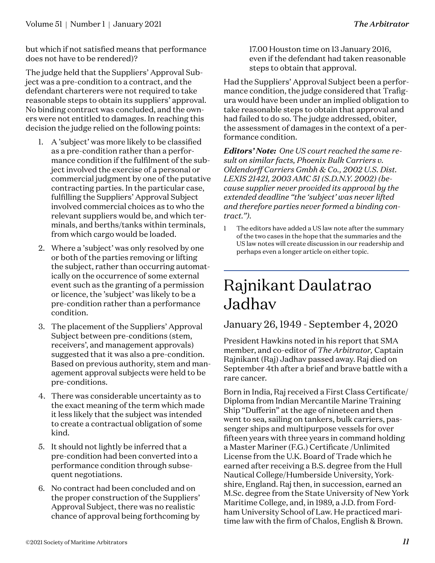but which if not satisfied means that performance does not have to be rendered)?

The judge held that the Suppliers' Approval Subject was a pre-condition to a contract, and the defendant charterers were not required to take reasonable steps to obtain its suppliers' approval. No binding contract was concluded, and the owners were not entitled to damages. In reaching this decision the judge relied on the following points:

- 1. A 'subject' was more likely to be classified as a pre-condition rather than a performance condition if the fulfilment of the subject involved the exercise of a personal or commercial judgment by one of the putative contracting parties. In the particular case, fulfilling the Suppliers' Approval Subject involved commercial choices as to who the relevant suppliers would be, and which terminals, and berths/tanks within terminals, from which cargo would be loaded.
- 2. Where a 'subject' was only resolved by one or both of the parties removing or lifting the subject, rather than occurring automatically on the occurrence of some external event such as the granting of a permission or licence, the 'subject' was likely to be a pre-condition rather than a performance condition.
- 3. The placement of the Suppliers' Approval Subject between pre-conditions (stem, receivers', and management approvals) suggested that it was also a pre-condition. Based on previous authority, stem and management approval subjects were held to be pre-conditions.
- 4. There was considerable uncertainty as to the exact meaning of the term which made it less likely that the subject was intended to create a contractual obligation of some kind.
- 5. It should not lightly be inferred that a pre-condition had been converted into a performance condition through subsequent negotiations.
- 6. No contract had been concluded and on the proper construction of the Suppliers' Approval Subject, there was no realistic chance of approval being forthcoming by

17.00 Houston time on 13 January 2016, even if the defendant had taken reasonable steps to obtain that approval.

Had the Suppliers' Approval Subject been a performance condition, the judge considered that Trafigura would have been under an implied obligation to take reasonable steps to obtain that approval and had failed to do so. The judge addressed, obiter, the assessment of damages in the context of a performance condition.

*Editors' Note: One US court reached the same result on similar facts, Phoenix Bulk Carriers v. Oldendorff Carriers Gmbh & Co., 2002 U.S. Dist. LEXIS 21421, 2003 AMC 51 (S.D.N.Y. 2002) (because supplier never provided its approval by the extended deadline "the 'subject' was never lifted and therefore parties never formed a binding contract.").*

1 The editors have added a US law note after the summary of the two cases in the hope that the summaries and the US law notes will create discussion in our readership and perhaps even a longer article on either topic.

## Rajnikant Daulatrao Jadhav

## January 26, 1949 - September 4, 2020

President Hawkins noted in his report that SMA member, and co-editor of *The Arbitrator,* Captain Rajnikant (Raj) Jadhav passed away. Raj died on September 4th after a brief and brave battle with a rare cancer.

Born in India, Raj received a First Class Certificate/ Diploma from Indian Mercantile Marine Training Ship "Dufferin" at the age of nineteen and then went to sea, sailing on tankers, bulk carriers, passenger ships and multipurpose vessels for over fifteen years with three years in command holding a Master Mariner (F.G.) Certificate /Unlimited License from the U.K. Board of Trade which he earned after receiving a B.S. degree from the Hull Nautical College/Humberside University, Yorkshire, England. Raj then, in succession, earned an M.Sc. degree from the State University of New York Maritime College, and, in 1989, a J.D. from Fordham University School of Law. He practiced maritime law with the firm of Chalos, English & Brown.